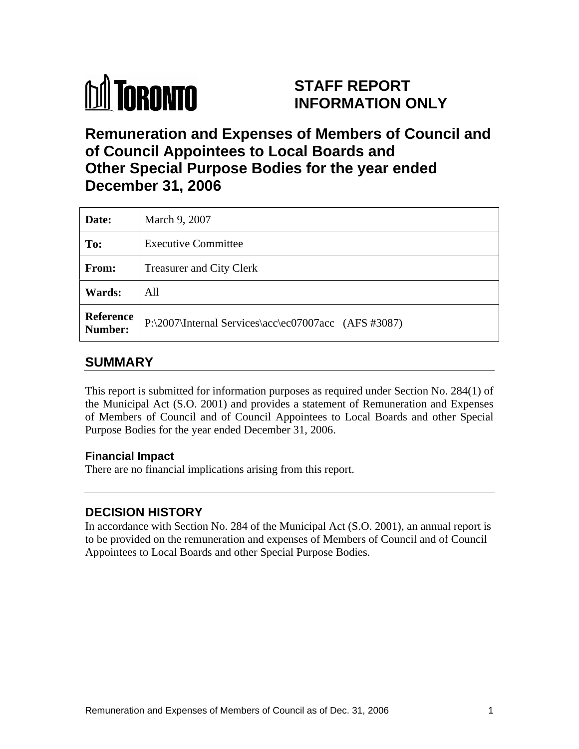

# **STAFF REPORT INFORMATION ONLY**

# **Remuneration and Expenses of Members of Council and of Council Appointees to Local Boards and Other Special Purpose Bodies for the year ended December 31, 2006**

| Date:         | March 9, 2007                                                  |
|---------------|----------------------------------------------------------------|
| To:           | <b>Executive Committee</b>                                     |
| From:         | <b>Treasurer and City Clerk</b>                                |
| <b>Wards:</b> | All                                                            |
|               | Reference P:\2007\Internal Services\acc\ec07007acc (AFS #3087) |

# **SUMMARY**

This report is submitted for information purposes as required under Section No. 284(1) of the Municipal Act (S.O. 2001) and provides a statement of Remuneration and Expenses of Members of Council and of Council Appointees to Local Boards and other Special Purpose Bodies for the year ended December 31, 2006.

### **Financial Impact**

There are no financial implications arising from this report.

## **DECISION HISTORY**

In accordance with Section No. 284 of the Municipal Act (S.O. 2001), an annual report is to be provided on the remuneration and expenses of Members of Council and of Council Appointees to Local Boards and other Special Purpose Bodies.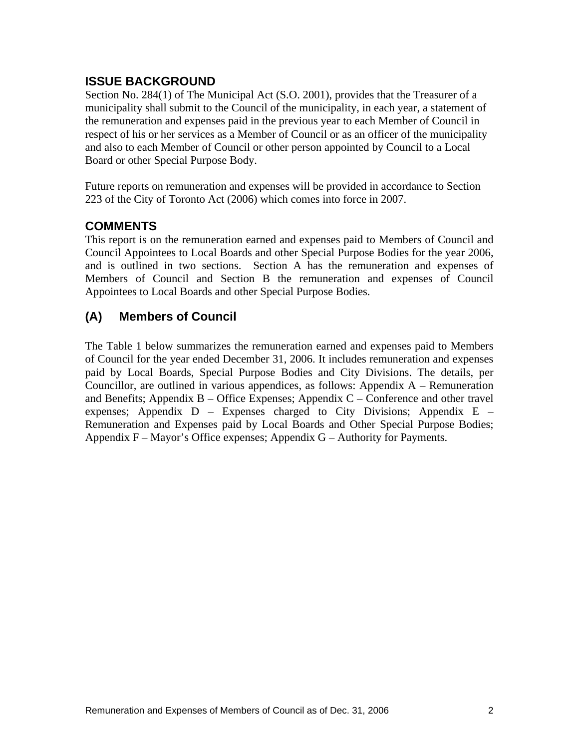## **ISSUE BACKGROUND**

Section No. 284(1) of The Municipal Act (S.O. 2001), provides that the Treasurer of a municipality shall submit to the Council of the municipality, in each year, a statement of the remuneration and expenses paid in the previous year to each Member of Council in respect of his or her services as a Member of Council or as an officer of the municipality and also to each Member of Council or other person appointed by Council to a Local Board or other Special Purpose Body.

Future reports on remuneration and expenses will be provided in accordance to Section 223 of the City of Toronto Act (2006) which comes into force in 2007.

## **COMMENTS**

This report is on the remuneration earned and expenses paid to Members of Council and Council Appointees to Local Boards and other Special Purpose Bodies for the year 2006, and is outlined in two sections. Section A has the remuneration and expenses of Members of Council and Section B the remuneration and expenses of Council Appointees to Local Boards and other Special Purpose Bodies.

# **(A) Members of Council**

The Table 1 below summarizes the remuneration earned and expenses paid to Members of Council for the year ended December 31, 2006. It includes remuneration and expenses paid by Local Boards, Special Purpose Bodies and City Divisions. The details, per Councillor, are outlined in various appendices, as follows: Appendix A – Remuneration and Benefits; Appendix B – Office Expenses; Appendix C – Conference and other travel expenses; Appendix  $D$  – Expenses charged to City Divisions; Appendix E – Remuneration and Expenses paid by Local Boards and Other Special Purpose Bodies; Appendix  $F -$  Mayor's Office expenses; Appendix  $G -$  Authority for Payments.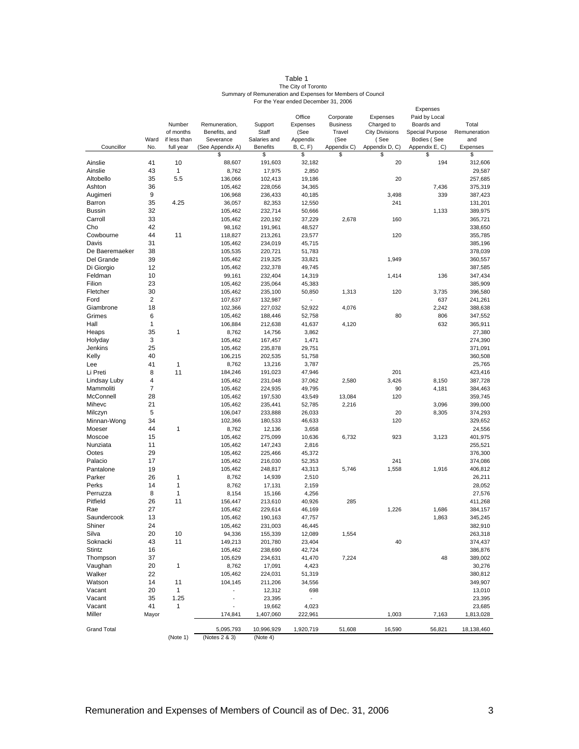| Table .                                                     |  |  |  |
|-------------------------------------------------------------|--|--|--|
| The City of Toronto                                         |  |  |  |
| Summary of Remuneration and Expenses for Members of Council |  |  |  |
| For the Year ended December 31, 2006                        |  |  |  |

|                    |                      |                          |                                             |                                          |                  |                 |                                                   | Expenses               |                          |
|--------------------|----------------------|--------------------------|---------------------------------------------|------------------------------------------|------------------|-----------------|---------------------------------------------------|------------------------|--------------------------|
|                    |                      |                          |                                             |                                          | Office           | Corporate       | Expenses                                          | Paid by Local          |                          |
|                    |                      | Number                   | Remuneration,                               | Support                                  | Expenses         | <b>Business</b> | Charged to                                        | Boards and             | Total                    |
|                    |                      | of months                | Benefits, and                               | Staff                                    | (See<br>Appendix | Travel<br>(See  | <b>City Divisions</b>                             | <b>Special Purpose</b> | Remuneration<br>and      |
| Councillor         |                      | Ward if less than        | Severance<br>No. full year (See Appendix A) | Salaries and<br>Benefits                 | <b>B. C. F)</b>  |                 | (See<br>Appendix C) Appendix D, C) Appendix E, C) | Bodies (See            | Expenses                 |
|                    |                      |                          |                                             |                                          |                  |                 |                                                   |                        | S.                       |
| Ainslie            | 41                   | 10                       | 88,607                                      | 191,603                                  | 32,182           |                 | 20                                                | 194                    | 312,606                  |
| Ainslie            | 43                   |                          | 8,762                                       | 17,975                                   | 2,850            |                 |                                                   |                        | 29,587                   |
| Altobello          | 35                   | 5.5                      | 136,066                                     | 102,413                                  | 19,186           |                 | 20                                                |                        | 257,685                  |
| Ashton             | 36                   |                          | 105,462                                     | 228,056                                  | 34,365           |                 |                                                   | 7,436                  | 375,319                  |
| Augimeri           | -9                   |                          | 106,968                                     | 236,433                                  | 40,185           |                 | 3,498                                             | 339                    | 387,423                  |
| Barron             | 35                   | 4.25                     | 36,057                                      | 82,353                                   | 12,550           |                 | 241                                               |                        | 131,201                  |
| Bussin             | 32                   |                          | 105,462                                     | 232,714                                  | 50,666           |                 |                                                   | 1,133                  | 389,975                  |
| Carroll            | 33                   |                          | 105,462                                     | 220,192                                  | 37,229           | 2,678           | 160                                               |                        | 365,721                  |
| Cho                | 42                   |                          | 98,162                                      | 191,961                                  | 48,527           |                 |                                                   |                        | 338,650                  |
| Cowbourne          | 44                   | 11                       | 118,827                                     | 213,261                                  | 23,577           |                 | 120                                               |                        | 355,785                  |
| Davis              | 31                   |                          | 105,462                                     | 234,019                                  | 45,715           |                 |                                                   |                        | 385,196                  |
| De Baeremaeker     | 38                   |                          | 105,535                                     | 220,721                                  | 51,783           |                 |                                                   |                        | 378,039                  |
| Del Grande         | 39                   |                          | 105,462                                     | 219,325                                  | 33,821           |                 | 1,949                                             |                        | 360,557                  |
| Di Giorgio         | 12                   |                          | 105,462                                     | 232,378                                  | 49,745           |                 |                                                   |                        | 387,585                  |
| Feldman            | 10                   |                          | 99,161                                      | 232,404                                  | 14,319           |                 | 1,414                                             | 136                    | 347,434                  |
| Filion             | 23                   |                          | 105,462                                     | 235,064                                  | 45,383           |                 |                                                   |                        | 385,909                  |
| Fletcher           | 30<br>$\overline{2}$ |                          | 105,462<br>107,637                          | 235,100                                  | 50,850           | 1,313           | 120                                               | 3,735<br>637           | 396,580                  |
| Ford<br>Giambrone  | 18                   |                          | 102,366                                     | 132,987<br>227,032                       | $\sim$<br>52,922 | 4,076           |                                                   | 2,242                  | 241,261<br>388,638       |
| Grimes             | - 6                  |                          | 105,462                                     | 188,446                                  | 52,758           |                 | 80                                                | 806                    | 347,552                  |
| Hall               | $\overline{1}$       |                          | 106,884                                     | 212,638                                  | 41,637           | 4,120           |                                                   | 632                    | 365,911                  |
| Heaps              | 35                   |                          | 8,762                                       | 14,756                                   | 3,862            |                 |                                                   |                        | 27,380                   |
| Holyday            | $\mathbf{3}$         |                          | 105,462                                     | 167,457                                  | 1,471            |                 |                                                   |                        | 274,390                  |
| Jenkins            | 25                   |                          | 105,462                                     | 235,878                                  | 29,751           |                 |                                                   |                        | 371,091                  |
| Kelly              | 40                   |                          | 106,215                                     | 202,535                                  | 51,758           |                 |                                                   |                        | 360,508                  |
| Lee                | 41                   | $\overline{\phantom{1}}$ | 8,762                                       | 13,216                                   | 3,787            |                 |                                                   |                        | 25,765                   |
| Li Preti           | 8                    | 11                       | 184,246                                     | 191,023                                  | 47,946           |                 | 201                                               |                        | 423,416                  |
| Lindsay Luby       | $\overline{4}$       |                          | 105,462                                     | 231,048                                  | 37,062           | 2,580           | 3,426                                             | 8,150                  | 387,728                  |
| Mammoliti          |                      |                          | 105,462                                     | 224,935                                  | 49,795           |                 | 90                                                | 4,181                  | 384,463                  |
| McConnell          | 28                   |                          | 105,462                                     | 197,530                                  | 43,549           | 13,084          | 120                                               |                        | 359,745                  |
| Mihevc             | 21                   |                          | 105,462                                     | 235,441                                  | 52,785           | 2,216           |                                                   | 3,096                  | 399,000                  |
| Milczyn            | $5^{\circ}$          |                          | 106,047                                     | 233,888                                  | 26,033           |                 | 20                                                | 8,305                  | 374,293                  |
| Minnan-Wong        | 34                   |                          | 102,366                                     | 180,533                                  | 46,633           |                 | 120                                               |                        | 329,652                  |
| Moeser             | 44                   |                          | 8,762                                       | 12,136                                   | 3,658            |                 |                                                   |                        | 24,556                   |
| Moscoe             | 15                   |                          | 105,462                                     | 275,099                                  | 10,636           | 6,732           | 923                                               | 3,123                  | 401,975                  |
| Nunziata<br>Ootes  | 11<br>29             |                          | 105,462<br>105,462                          | 147,243<br>225,466                       | 2,816<br>45,372  |                 |                                                   |                        | 255,521<br>376,300       |
| Palacio            | 17                   |                          | 105,462                                     | 216,030                                  | 52,353           |                 | 241                                               |                        | 374,086                  |
| Pantalone          | 19                   |                          | 105,462                                     | 248,817                                  | 43,313           | 5,746           | 1,558                                             | 1,916                  | 406,812                  |
| Parker             | 26                   |                          | 8,762                                       | 14,939                                   | 2,510            |                 |                                                   |                        | 26,211                   |
| Perks              | 14                   |                          | 8,762                                       | 17,131                                   | 2,159            |                 |                                                   |                        | 28,052                   |
| Perruzza           | 8                    | $\overline{\phantom{0}}$ | 8,154                                       | 15,166                                   | 4,256            |                 |                                                   |                        | 27,576                   |
| Pitfield           | 26                   | 11                       | 156,447                                     | 213,610                                  | 40,926           | 285             |                                                   |                        | 411,268                  |
| Rae                | 27                   |                          | 105,462                                     | 229,614                                  | 46,169           |                 | 1,226                                             | 1,686                  | 384,157                  |
| Saundercook        | 13                   |                          | 105,462                                     | 190,163                                  | 47,757           |                 |                                                   | 1,863                  | 345,245                  |
| Shiner             | 24                   |                          | 105,462                                     | 231,003                                  | 46,445           |                 |                                                   |                        | 382,910                  |
| Silva              | 20                   | 10                       | 94,336                                      | 155,339                                  | 12,089           | 1,554           |                                                   |                        | 263,318                  |
| Soknacki           | 43                   | 11                       | 149,213                                     | 201,780                                  | 23,404           |                 | 40                                                |                        | 374,437                  |
| Stintz             | 16                   |                          | 105,462                                     | 238,690                                  | 42,724           |                 |                                                   |                        | 386,876                  |
| Thompson           | 37<br>20 1           |                          | 105,629<br>8,762                            | 234,631<br>17,091                        | 41,470<br>4,423  | 7,224           |                                                   | 48                     | 389,002<br>30,276        |
| Vaughan<br>Walker  | 22                   |                          | 105,462                                     | 224,031                                  | 51,319           |                 |                                                   |                        | 380,812                  |
| Watson             | 14 11                |                          | 104,145                                     | 211,206                                  | 34,556           |                 |                                                   |                        | 349,907                  |
| Vacant             | 20                   | $\overline{1}$           | <b>Contract</b>                             | 12,312                                   | 698              |                 |                                                   |                        | 13,010                   |
| Vacant             | 35 1.25              |                          | <b>Contract</b>                             | 23,395                                   | $\sim 100$       |                 |                                                   |                        | 23,395                   |
| Vacant             | 41 1                 |                          | <b>Contractor</b>                           | 19,662                                   | 4,023            |                 |                                                   |                        | 23,685                   |
| Miller             | Mayor                |                          | 174,841                                     | 1,407,060                                | 222,961          |                 | 1,003                                             |                        | 7,163 1,813,028          |
|                    |                      |                          | $\overline{\phantom{a}}$                    |                                          |                  |                 |                                                   |                        |                          |
| <b>Grand Total</b> |                      |                          | $\frac{1}{2}$                               | 5,095,793  10,996,929  1,920,719  51,608 |                  |                 |                                                   |                        | 16,590 56,821 18,138,460 |
|                    |                      |                          | (Note 1) (Notes 2 & 3) (Note 4)             |                                          |                  |                 |                                                   |                        |                          |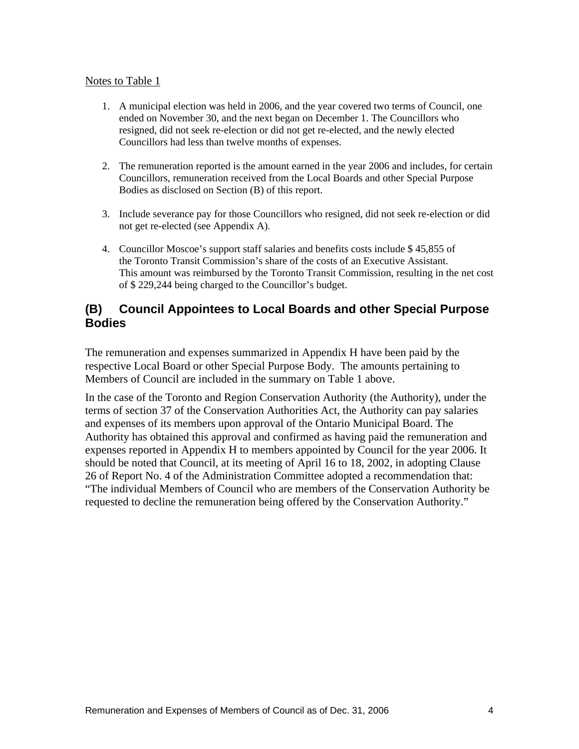#### Notes to Table 1

- 1. A municipal election was held in 2006, and the year covered two terms of Council, one ended on November 30, and the next began on December 1. The Councillors who resigned, did not seek re-election or did not get re-elected, and the newly elected Councillors had less than twelve months of expenses.
- 2. The remuneration reported is the amount earned in the year 2006 and includes, for certain Councillors, remuneration received from the Local Boards and other Special Purpose Bodies as disclosed on Section (B) of this report.
- 3. Include severance pay for those Councillors who resigned, did not seek re-election or did not get re-elected (see Appendix A).
- 4. Councillor Moscoe's support staff salaries and benefits costs include \$ 45,855 of the Toronto Transit Commission's share of the costs of an Executive Assistant. This amount was reimbursed by the Toronto Transit Commission, resulting in the net cost of \$ 229,244 being charged to the Councillor's budget.

#### **(B) Council Appointees to Local Boards and other Special Purpose Bodies**

The remuneration and expenses summarized in Appendix H have been paid by the respective Local Board or other Special Purpose Body. The amounts pertaining to Members of Council are included in the summary on Table 1 above.

In the case of the Toronto and Region Conservation Authority (the Authority), under the terms of section 37 of the Conservation Authorities Act, the Authority can pay salaries and expenses of its members upon approval of the Ontario Municipal Board. The Authority has obtained this approval and confirmed as having paid the remuneration and expenses reported in Appendix H to members appointed by Council for the year 2006. It should be noted that Council, at its meeting of April 16 to 18, 2002, in adopting Clause 26 of Report No. 4 of the Administration Committee adopted a recommendation that: "The individual Members of Council who are members of the Conservation Authority be requested to decline the remuneration being offered by the Conservation Authority."